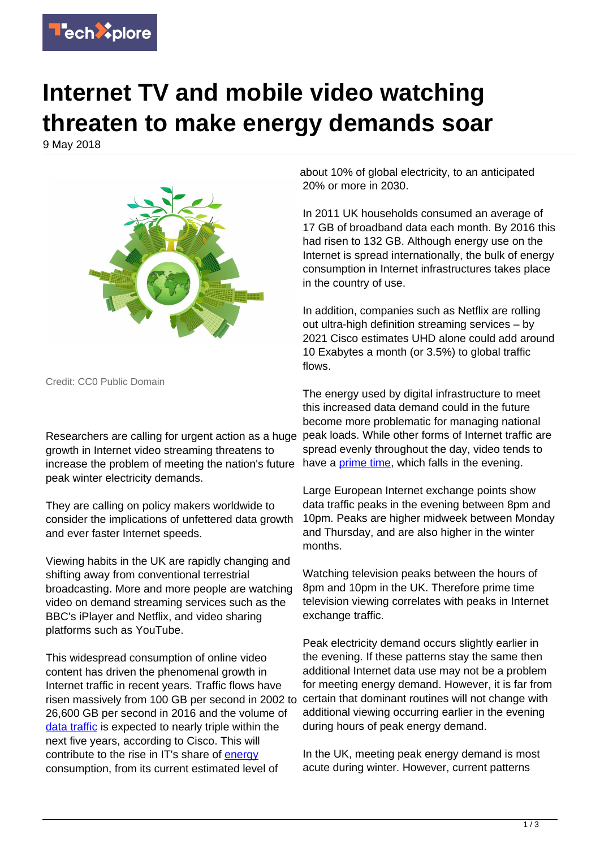

## **Internet TV and mobile video watching threaten to make energy demands soar**

9 May 2018



Credit: CC0 Public Domain

Researchers are calling for urgent action as a huge peak loads. While other forms of Internet traffic are growth in Internet video streaming threatens to increase the problem of meeting the nation's future peak winter electricity demands.

They are calling on policy makers worldwide to consider the implications of unfettered data growth and ever faster Internet speeds.

Viewing habits in the UK are rapidly changing and shifting away from conventional terrestrial broadcasting. More and more people are watching video on demand streaming services such as the BBC's iPlayer and Netflix, and video sharing platforms such as YouTube.

This widespread consumption of online video content has driven the phenomenal growth in Internet traffic in recent years. Traffic flows have risen massively from 100 GB per second in 2002 to 26,600 GB per second in 2016 and the volume of [data traffic](https://techxplore.com/tags/data+traffic/) is expected to nearly triple within the next five years, according to Cisco. This will contribute to the rise in IT's share of [energy](https://techxplore.com/tags/energy/) consumption, from its current estimated level of

about 10% of global electricity, to an anticipated 20% or more in 2030.

In 2011 UK households consumed an average of 17 GB of broadband data each month. By 2016 this had risen to 132 GB. Although energy use on the Internet is spread internationally, the bulk of energy consumption in Internet infrastructures takes place in the country of use.

In addition, companies such as Netflix are rolling out ultra-high definition streaming services – by 2021 Cisco estimates UHD alone could add around 10 Exabytes a month (or 3.5%) to global traffic flows.

The energy used by digital infrastructure to meet this increased data demand could in the future become more problematic for managing national spread evenly throughout the day, video tends to have a *prime time*, which falls in the evening.

Large European Internet exchange points show data traffic peaks in the evening between 8pm and 10pm. Peaks are higher midweek between Monday and Thursday, and are also higher in the winter months.

Watching television peaks between the hours of 8pm and 10pm in the UK. Therefore prime time television viewing correlates with peaks in Internet exchange traffic.

Peak electricity demand occurs slightly earlier in the evening. If these patterns stay the same then additional Internet data use may not be a problem for meeting energy demand. However, it is far from certain that dominant routines will not change with additional viewing occurring earlier in the evening during hours of peak energy demand.

In the UK, meeting peak energy demand is most acute during winter. However, current patterns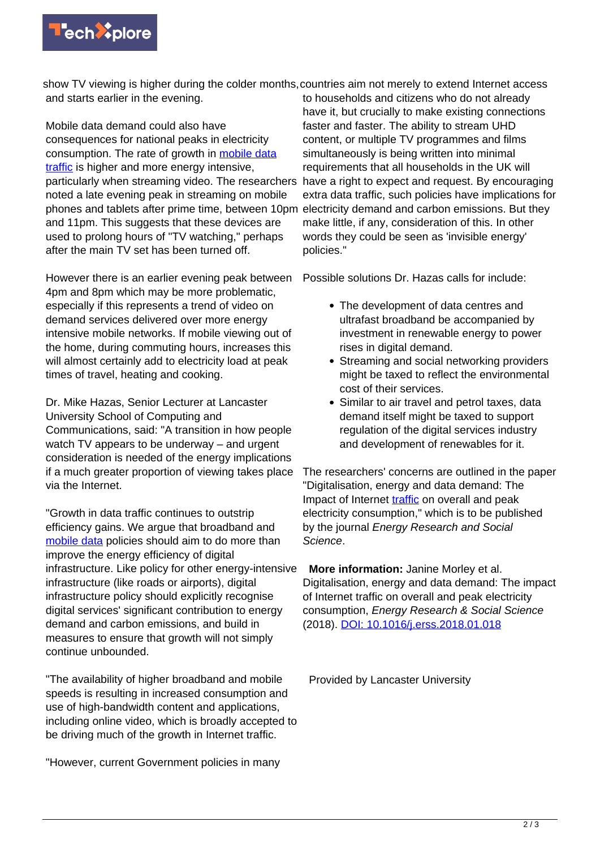

show TV viewing is higher during the colder months, countries aim not merely to extend Internet access and starts earlier in the evening. to households and citizens who do not already

Mobile data demand could also have consequences for national peaks in electricity consumption. The rate of growth in [mobile data](https://techxplore.com/tags/mobile+data+traffic/) [traffic](https://techxplore.com/tags/mobile+data+traffic/) is higher and more energy intensive, particularly when streaming video. The researchers noted a late evening peak in streaming on mobile phones and tablets after prime time, between 10pm electricity demand and carbon emissions. But they and 11pm. This suggests that these devices are used to prolong hours of "TV watching," perhaps after the main TV set has been turned off.

However there is an earlier evening peak between 4pm and 8pm which may be more problematic, especially if this represents a trend of video on demand services delivered over more energy intensive mobile networks. If mobile viewing out of the home, during commuting hours, increases this will almost certainly add to electricity load at peak times of travel, heating and cooking.

Dr. Mike Hazas, Senior Lecturer at Lancaster University School of Computing and Communications, said: "A transition in how people watch TV appears to be underway – and urgent consideration is needed of the energy implications if a much greater proportion of viewing takes place via the Internet.

"Growth in data traffic continues to outstrip efficiency gains. We argue that broadband and [mobile data](https://techxplore.com/tags/mobile+data/) policies should aim to do more than improve the energy efficiency of digital infrastructure. Like policy for other energy-intensive infrastructure (like roads or airports), digital infrastructure policy should explicitly recognise digital services' significant contribution to energy demand and carbon emissions, and build in measures to ensure that growth will not simply continue unbounded.

"The availability of higher broadband and mobile speeds is resulting in increased consumption and use of high-bandwidth content and applications, including online video, which is broadly accepted to be driving much of the growth in Internet traffic.

"However, current Government policies in many

have it, but crucially to make existing connections faster and faster. The ability to stream UHD content, or multiple TV programmes and films simultaneously is being written into minimal requirements that all households in the UK will have a right to expect and request. By encouraging extra data traffic, such policies have implications for make little, if any, consideration of this. In other words they could be seen as 'invisible energy' policies."

Possible solutions Dr. Hazas calls for include:

- The development of data centres and ultrafast broadband be accompanied by investment in renewable energy to power rises in digital demand.
- Streaming and social networking providers might be taxed to reflect the environmental cost of their services.
- Similar to air travel and petrol taxes, data demand itself might be taxed to support regulation of the digital services industry and development of renewables for it.

The researchers' concerns are outlined in the paper "Digitalisation, energy and data demand: The Impact of Internet [traffic](https://techxplore.com/tags/traffic/) on overall and peak electricity consumption," which is to be published by the journal Energy Research and Social Science.

 **More information:** Janine Morley et al. Digitalisation, energy and data demand: The impact of Internet traffic on overall and peak electricity consumption, Energy Research & Social Science (2018). [DOI: 10.1016/j.erss.2018.01.018](http://dx.doi.org/10.1016/j.erss.2018.01.018)

Provided by Lancaster University